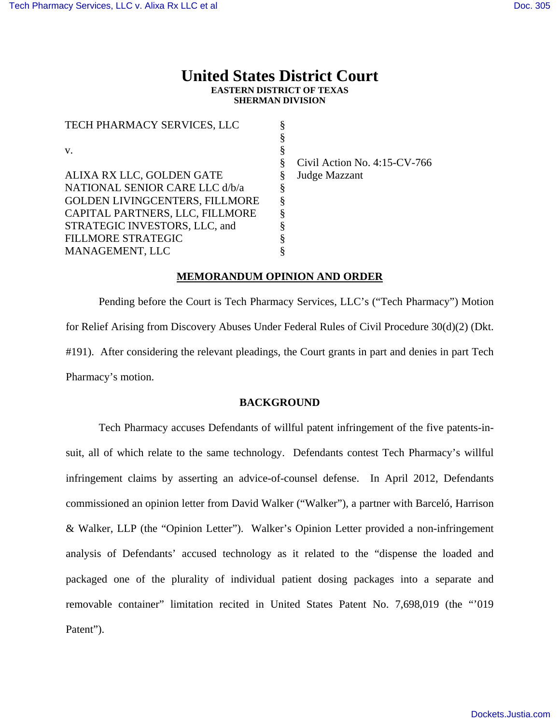# **United States District Court EASTERN DISTRICT OF TEXAS SHERMAN DIVISION**

| TECH PHARMACY SERVICES, LLC           |                                 |
|---------------------------------------|---------------------------------|
|                                       |                                 |
| V.                                    |                                 |
|                                       | Civil Action No. $4:15$ -CV-766 |
| ALIXA RX LLC, GOLDEN GATE             | Judge Mazzant                   |
| NATIONAL SENIOR CARE LLC d/b/a        |                                 |
| <b>GOLDEN LIVINGCENTERS, FILLMORE</b> |                                 |
| CAPITAL PARTNERS, LLC, FILLMORE       |                                 |
| STRATEGIC INVESTORS, LLC, and         |                                 |
| <b>FILLMORE STRATEGIC</b>             |                                 |
| MANAGEMENT, LLC                       |                                 |

## **MEMORANDUM OPINION AND ORDER**

 Pending before the Court is Tech Pharmacy Services, LLC's ("Tech Pharmacy") Motion for Relief Arising from Discovery Abuses Under Federal Rules of Civil Procedure 30(d)(2) (Dkt. #191). After considering the relevant pleadings, the Court grants in part and denies in part Tech Pharmacy's motion.

## **BACKGROUND**

 Tech Pharmacy accuses Defendants of willful patent infringement of the five patents-insuit, all of which relate to the same technology. Defendants contest Tech Pharmacy's willful infringement claims by asserting an advice-of-counsel defense. In April 2012, Defendants commissioned an opinion letter from David Walker ("Walker"), a partner with Barceló, Harrison & Walker, LLP (the "Opinion Letter"). Walker's Opinion Letter provided a non-infringement analysis of Defendants' accused technology as it related to the "dispense the loaded and packaged one of the plurality of individual patient dosing packages into a separate and removable container" limitation recited in United States Patent No. 7,698,019 (the "'019 Patent").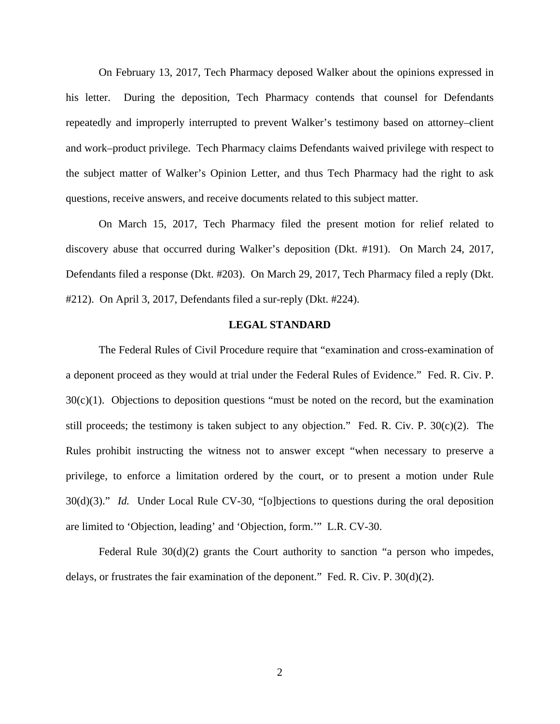On February 13, 2017, Tech Pharmacy deposed Walker about the opinions expressed in his letter. During the deposition, Tech Pharmacy contends that counsel for Defendants repeatedly and improperly interrupted to prevent Walker's testimony based on attorney–client and work–product privilege. Tech Pharmacy claims Defendants waived privilege with respect to the subject matter of Walker's Opinion Letter, and thus Tech Pharmacy had the right to ask questions, receive answers, and receive documents related to this subject matter.

On March 15, 2017, Tech Pharmacy filed the present motion for relief related to discovery abuse that occurred during Walker's deposition (Dkt. #191). On March 24, 2017, Defendants filed a response (Dkt. #203). On March 29, 2017, Tech Pharmacy filed a reply (Dkt. #212). On April 3, 2017, Defendants filed a sur-reply (Dkt. #224).

## **LEGAL STANDARD**

 The Federal Rules of Civil Procedure require that "examination and cross-examination of a deponent proceed as they would at trial under the Federal Rules of Evidence." Fed. R. Civ. P.  $30(c)(1)$ . Objections to deposition questions "must be noted on the record, but the examination still proceeds; the testimony is taken subject to any objection." Fed. R. Civ. P. 30(c)(2). The Rules prohibit instructing the witness not to answer except "when necessary to preserve a privilege, to enforce a limitation ordered by the court, or to present a motion under Rule 30(d)(3)." *Id.* Under Local Rule CV-30, "[o]bjections to questions during the oral deposition are limited to 'Objection, leading' and 'Objection, form.'" L.R. CV-30.

Federal Rule 30(d)(2) grants the Court authority to sanction "a person who impedes, delays, or frustrates the fair examination of the deponent." Fed. R. Civ. P. 30(d)(2).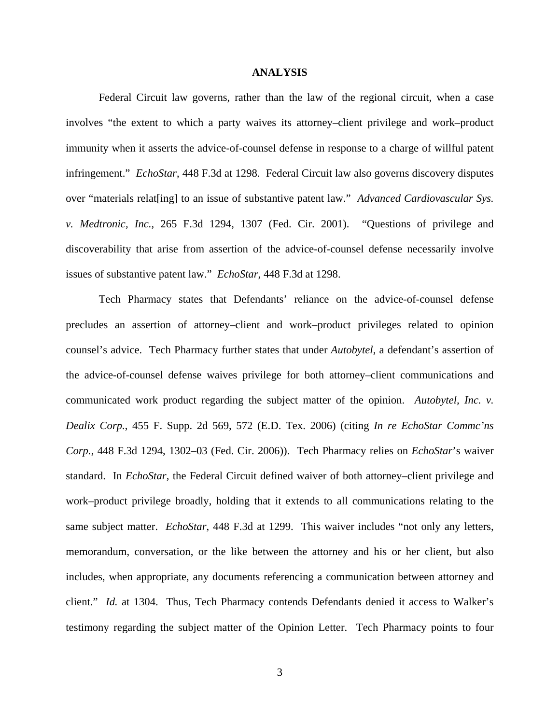#### **ANALYSIS**

Federal Circuit law governs, rather than the law of the regional circuit, when a case involves "the extent to which a party waives its attorney–client privilege and work–product immunity when it asserts the advice-of-counsel defense in response to a charge of willful patent infringement." *EchoStar*, 448 F.3d at 1298. Federal Circuit law also governs discovery disputes over "materials relat[ing] to an issue of substantive patent law." *Advanced Cardiovascular Sys. v. Medtronic, Inc.*, 265 F.3d 1294, 1307 (Fed. Cir. 2001). "Questions of privilege and discoverability that arise from assertion of the advice-of-counsel defense necessarily involve issues of substantive patent law." *EchoStar*, 448 F.3d at 1298.

Tech Pharmacy states that Defendants' reliance on the advice-of-counsel defense precludes an assertion of attorney–client and work–product privileges related to opinion counsel's advice. Tech Pharmacy further states that under *Autobytel*, a defendant's assertion of the advice-of-counsel defense waives privilege for both attorney–client communications and communicated work product regarding the subject matter of the opinion. *Autobytel, Inc. v. Dealix Corp.*, 455 F. Supp. 2d 569, 572 (E.D. Tex. 2006) (citing *In re EchoStar Commc'ns Corp.*, 448 F.3d 1294, 1302–03 (Fed. Cir. 2006)). Tech Pharmacy relies on *EchoStar*'s waiver standard. In *EchoStar*, the Federal Circuit defined waiver of both attorney–client privilege and work–product privilege broadly, holding that it extends to all communications relating to the same subject matter. *EchoStar*, 448 F.3d at 1299. This waiver includes "not only any letters, memorandum, conversation, or the like between the attorney and his or her client, but also includes, when appropriate, any documents referencing a communication between attorney and client." *Id.* at 1304. Thus, Tech Pharmacy contends Defendants denied it access to Walker's testimony regarding the subject matter of the Opinion Letter. Tech Pharmacy points to four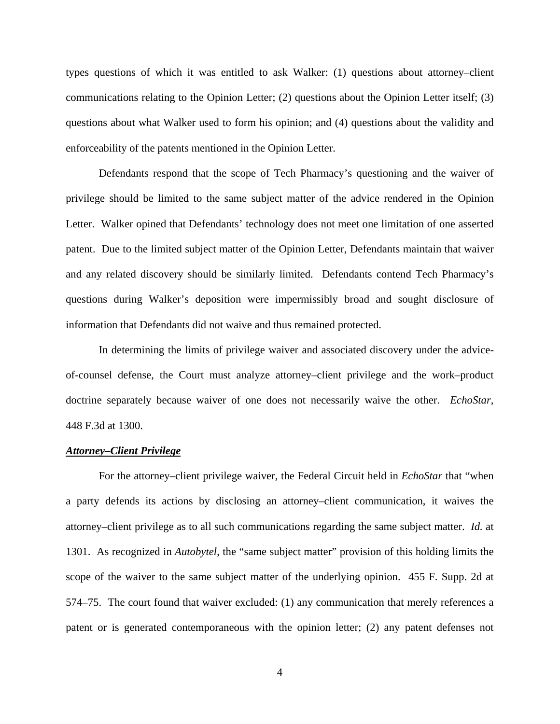types questions of which it was entitled to ask Walker: (1) questions about attorney–client communications relating to the Opinion Letter; (2) questions about the Opinion Letter itself; (3) questions about what Walker used to form his opinion; and (4) questions about the validity and enforceability of the patents mentioned in the Opinion Letter.

Defendants respond that the scope of Tech Pharmacy's questioning and the waiver of privilege should be limited to the same subject matter of the advice rendered in the Opinion Letter. Walker opined that Defendants' technology does not meet one limitation of one asserted patent. Due to the limited subject matter of the Opinion Letter, Defendants maintain that waiver and any related discovery should be similarly limited. Defendants contend Tech Pharmacy's questions during Walker's deposition were impermissibly broad and sought disclosure of information that Defendants did not waive and thus remained protected.

In determining the limits of privilege waiver and associated discovery under the adviceof-counsel defense, the Court must analyze attorney–client privilege and the work–product doctrine separately because waiver of one does not necessarily waive the other. *EchoStar*, 448 F.3d at 1300.

#### *Attorney–Client Privilege*

For the attorney–client privilege waiver, the Federal Circuit held in *EchoStar* that "when a party defends its actions by disclosing an attorney–client communication, it waives the attorney–client privilege as to all such communications regarding the same subject matter. *Id.* at 1301. As recognized in *Autobytel*, the "same subject matter" provision of this holding limits the scope of the waiver to the same subject matter of the underlying opinion. 455 F. Supp. 2d at 574–75. The court found that waiver excluded: (1) any communication that merely references a patent or is generated contemporaneous with the opinion letter; (2) any patent defenses not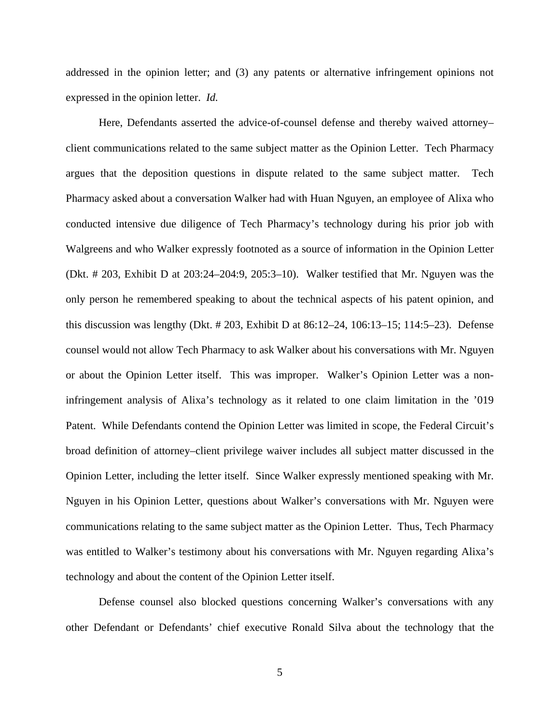addressed in the opinion letter; and (3) any patents or alternative infringement opinions not expressed in the opinion letter. *Id.*

Here, Defendants asserted the advice-of-counsel defense and thereby waived attorney– client communications related to the same subject matter as the Opinion Letter. Tech Pharmacy argues that the deposition questions in dispute related to the same subject matter. Tech Pharmacy asked about a conversation Walker had with Huan Nguyen, an employee of Alixa who conducted intensive due diligence of Tech Pharmacy's technology during his prior job with Walgreens and who Walker expressly footnoted as a source of information in the Opinion Letter (Dkt. # 203, Exhibit D at 203:24–204:9, 205:3–10). Walker testified that Mr. Nguyen was the only person he remembered speaking to about the technical aspects of his patent opinion, and this discussion was lengthy (Dkt.  $\# 203$ , Exhibit D at  $86:12-24$ ,  $106:13-15$ ;  $114:5-23$ ). Defense counsel would not allow Tech Pharmacy to ask Walker about his conversations with Mr. Nguyen or about the Opinion Letter itself. This was improper. Walker's Opinion Letter was a noninfringement analysis of Alixa's technology as it related to one claim limitation in the '019 Patent. While Defendants contend the Opinion Letter was limited in scope, the Federal Circuit's broad definition of attorney–client privilege waiver includes all subject matter discussed in the Opinion Letter, including the letter itself. Since Walker expressly mentioned speaking with Mr. Nguyen in his Opinion Letter, questions about Walker's conversations with Mr. Nguyen were communications relating to the same subject matter as the Opinion Letter. Thus, Tech Pharmacy was entitled to Walker's testimony about his conversations with Mr. Nguyen regarding Alixa's technology and about the content of the Opinion Letter itself.

Defense counsel also blocked questions concerning Walker's conversations with any other Defendant or Defendants' chief executive Ronald Silva about the technology that the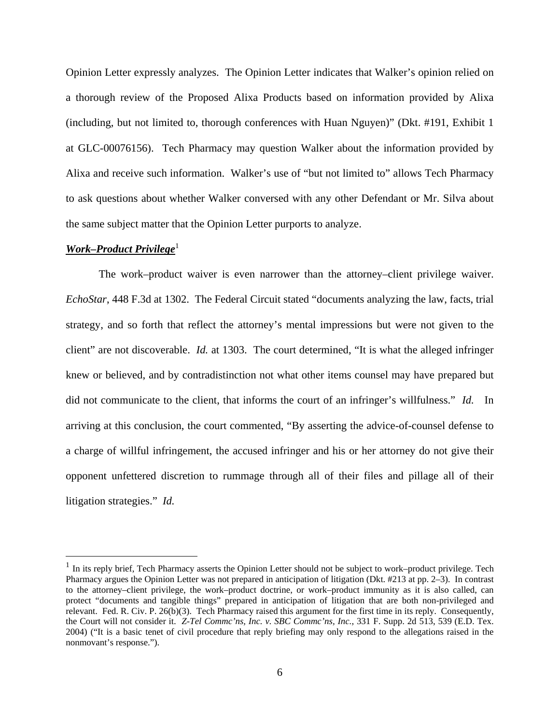Opinion Letter expressly analyzes. The Opinion Letter indicates that Walker's opinion relied on a thorough review of the Proposed Alixa Products based on information provided by Alixa (including, but not limited to, thorough conferences with Huan Nguyen)" (Dkt. #191, Exhibit 1 at GLC-00076156). Tech Pharmacy may question Walker about the information provided by Alixa and receive such information. Walker's use of "but not limited to" allows Tech Pharmacy to ask questions about whether Walker conversed with any other Defendant or Mr. Silva about the same subject matter that the Opinion Letter purports to analyze.

#### *Work–Product Privilege*<sup>1</sup>

 $\overline{a}$ 

The work–product waiver is even narrower than the attorney–client privilege waiver. *EchoStar*, 448 F.3d at 1302. The Federal Circuit stated "documents analyzing the law, facts, trial strategy, and so forth that reflect the attorney's mental impressions but were not given to the client" are not discoverable. *Id.* at 1303. The court determined, "It is what the alleged infringer knew or believed, and by contradistinction not what other items counsel may have prepared but did not communicate to the client, that informs the court of an infringer's willfulness." *Id.* In arriving at this conclusion, the court commented, "By asserting the advice-of-counsel defense to a charge of willful infringement, the accused infringer and his or her attorney do not give their opponent unfettered discretion to rummage through all of their files and pillage all of their litigation strategies." *Id.* 

 $<sup>1</sup>$  In its reply brief, Tech Pharmacy asserts the Opinion Letter should not be subject to work–product privilege. Tech</sup> Pharmacy argues the Opinion Letter was not prepared in anticipation of litigation (Dkt. #213 at pp. 2–3). In contrast to the attorney–client privilege, the work–product doctrine, or work–product immunity as it is also called, can protect "documents and tangible things" prepared in anticipation of litigation that are both non-privileged and relevant. Fed. R. Civ. P. 26(b)(3). Tech Pharmacy raised this argument for the first time in its reply. Consequently, the Court will not consider it. *Z-Tel Commc'ns, Inc. v. SBC Commc'ns, Inc.*, 331 F. Supp. 2d 513, 539 (E.D. Tex. 2004) ("It is a basic tenet of civil procedure that reply briefing may only respond to the allegations raised in the nonmovant's response.").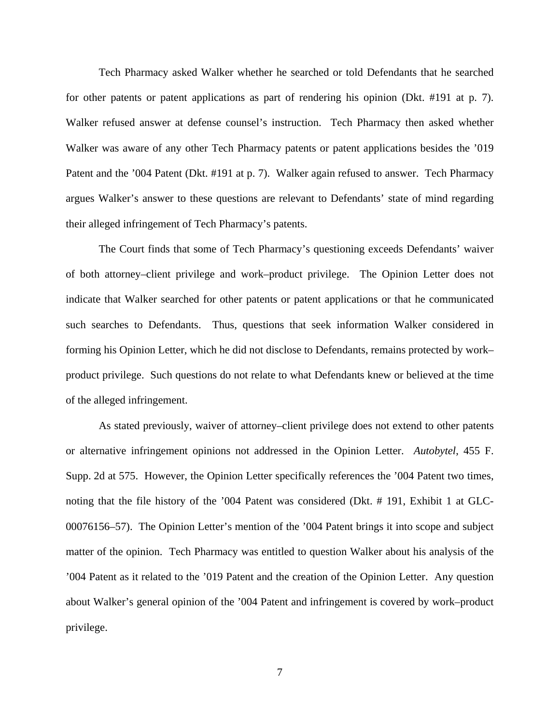Tech Pharmacy asked Walker whether he searched or told Defendants that he searched for other patents or patent applications as part of rendering his opinion (Dkt. #191 at p. 7). Walker refused answer at defense counsel's instruction. Tech Pharmacy then asked whether Walker was aware of any other Tech Pharmacy patents or patent applications besides the '019 Patent and the '004 Patent (Dkt. #191 at p. 7). Walker again refused to answer. Tech Pharmacy argues Walker's answer to these questions are relevant to Defendants' state of mind regarding their alleged infringement of Tech Pharmacy's patents.

The Court finds that some of Tech Pharmacy's questioning exceeds Defendants' waiver of both attorney–client privilege and work–product privilege. The Opinion Letter does not indicate that Walker searched for other patents or patent applications or that he communicated such searches to Defendants. Thus, questions that seek information Walker considered in forming his Opinion Letter, which he did not disclose to Defendants, remains protected by work– product privilege. Such questions do not relate to what Defendants knew or believed at the time of the alleged infringement.

As stated previously, waiver of attorney–client privilege does not extend to other patents or alternative infringement opinions not addressed in the Opinion Letter. *Autobytel*, 455 F. Supp. 2d at 575. However, the Opinion Letter specifically references the '004 Patent two times, noting that the file history of the '004 Patent was considered (Dkt. # 191, Exhibit 1 at GLC-00076156–57). The Opinion Letter's mention of the '004 Patent brings it into scope and subject matter of the opinion. Tech Pharmacy was entitled to question Walker about his analysis of the '004 Patent as it related to the '019 Patent and the creation of the Opinion Letter. Any question about Walker's general opinion of the '004 Patent and infringement is covered by work–product privilege.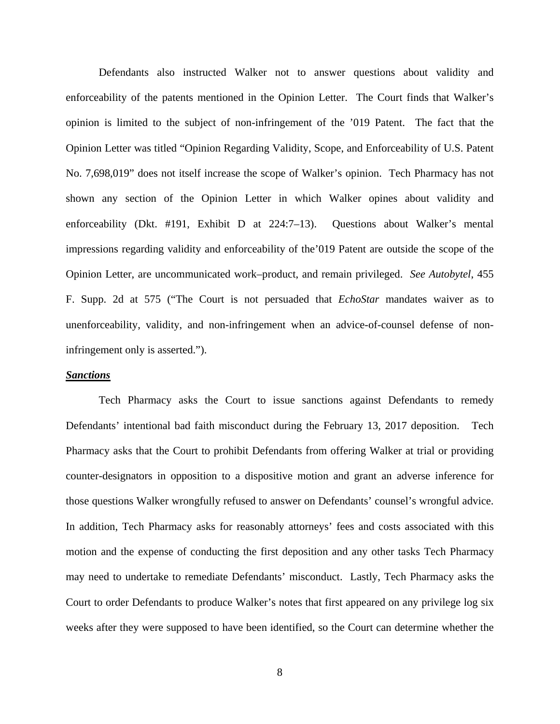Defendants also instructed Walker not to answer questions about validity and enforceability of the patents mentioned in the Opinion Letter. The Court finds that Walker's opinion is limited to the subject of non-infringement of the '019 Patent. The fact that the Opinion Letter was titled "Opinion Regarding Validity, Scope, and Enforceability of U.S. Patent No. 7,698,019" does not itself increase the scope of Walker's opinion. Tech Pharmacy has not shown any section of the Opinion Letter in which Walker opines about validity and enforceability (Dkt. #191, Exhibit D at 224:7–13). Questions about Walker's mental impressions regarding validity and enforceability of the'019 Patent are outside the scope of the Opinion Letter, are uncommunicated work–product, and remain privileged. *See Autobytel*, 455 F. Supp. 2d at 575 ("The Court is not persuaded that *EchoStar* mandates waiver as to unenforceability, validity, and non-infringement when an advice-of-counsel defense of noninfringement only is asserted.").

#### *Sanctions*

Tech Pharmacy asks the Court to issue sanctions against Defendants to remedy Defendants' intentional bad faith misconduct during the February 13, 2017 deposition. Tech Pharmacy asks that the Court to prohibit Defendants from offering Walker at trial or providing counter-designators in opposition to a dispositive motion and grant an adverse inference for those questions Walker wrongfully refused to answer on Defendants' counsel's wrongful advice. In addition, Tech Pharmacy asks for reasonably attorneys' fees and costs associated with this motion and the expense of conducting the first deposition and any other tasks Tech Pharmacy may need to undertake to remediate Defendants' misconduct. Lastly, Tech Pharmacy asks the Court to order Defendants to produce Walker's notes that first appeared on any privilege log six weeks after they were supposed to have been identified, so the Court can determine whether the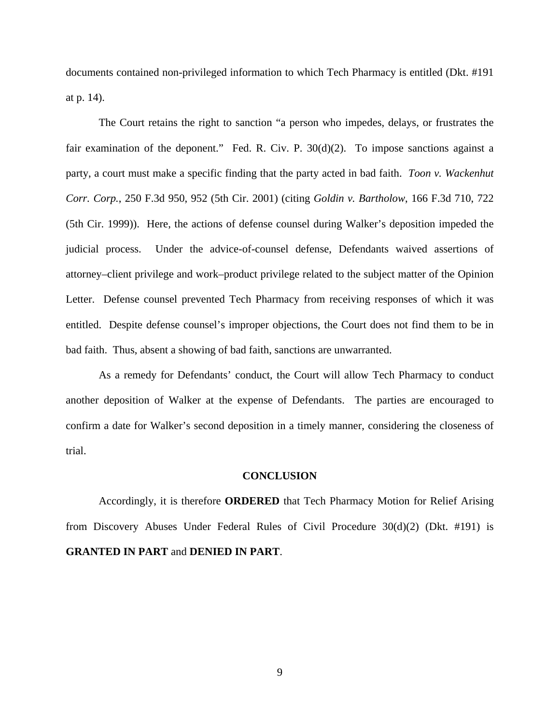documents contained non-privileged information to which Tech Pharmacy is entitled (Dkt. #191 at p. 14).

The Court retains the right to sanction "a person who impedes, delays, or frustrates the fair examination of the deponent." Fed. R. Civ. P.  $30(d)(2)$ . To impose sanctions against a party, a court must make a specific finding that the party acted in bad faith. *Toon v. Wackenhut Corr. Corp.*, 250 F.3d 950, 952 (5th Cir. 2001) (citing *Goldin v. Bartholow*, 166 F.3d 710, 722 (5th Cir. 1999)). Here, the actions of defense counsel during Walker's deposition impeded the judicial process. Under the advice-of-counsel defense, Defendants waived assertions of attorney–client privilege and work–product privilege related to the subject matter of the Opinion Letter. Defense counsel prevented Tech Pharmacy from receiving responses of which it was entitled. Despite defense counsel's improper objections, the Court does not find them to be in bad faith. Thus, absent a showing of bad faith, sanctions are unwarranted.

As a remedy for Defendants' conduct, the Court will allow Tech Pharmacy to conduct another deposition of Walker at the expense of Defendants. The parties are encouraged to confirm a date for Walker's second deposition in a timely manner, considering the closeness of trial.

#### **CONCLUSION**

 Accordingly, it is therefore **ORDERED** that Tech Pharmacy Motion for Relief Arising from Discovery Abuses Under Federal Rules of Civil Procedure 30(d)(2) (Dkt. #191) is **GRANTED IN PART** and **DENIED IN PART**.

9